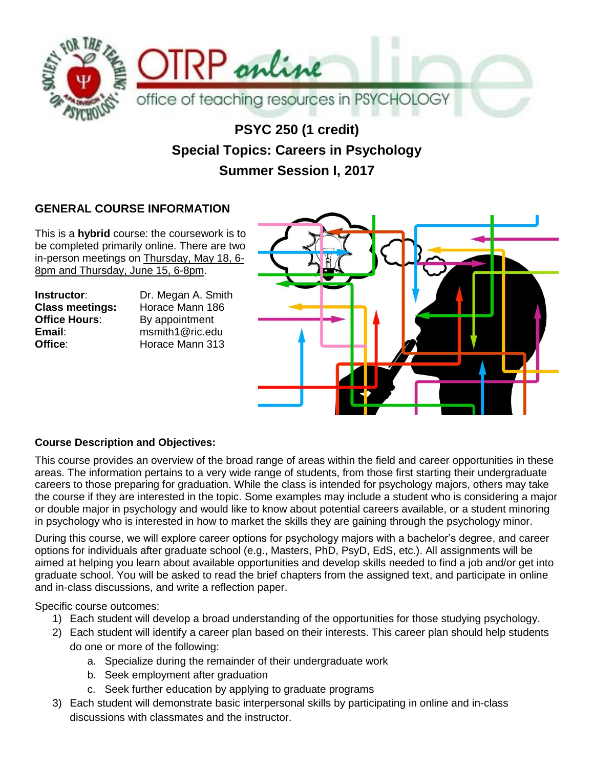

# **PSYC 250 (1 credit) Special Topics: Careers in Psychology Summer Session I, 2017**

### **GENERAL COURSE INFORMATION**

This is a **hybrid** course: the coursework is to be completed primarily online. There are two in-person meetings on Thursday, May 18, 6- 8pm and Thursday, June 15, 6-8pm.

**Instructor:** Dr. Megan A. Smith **Office Hours:** By appointment

**Class meetings:** Horace Mann 186 **Email**: msmith1@ric.edu **Office**: Horace Mann 313



#### **Course Description and Objectives:**

This course provides an overview of the broad range of areas within the field and career opportunities in these areas. The information pertains to a very wide range of students, from those first starting their undergraduate careers to those preparing for graduation. While the class is intended for psychology majors, others may take the course if they are interested in the topic. Some examples may include a student who is considering a major or double major in psychology and would like to know about potential careers available, or a student minoring in psychology who is interested in how to market the skills they are gaining through the psychology minor.

During this course, we will explore career options for psychology majors with a bachelor's degree, and career options for individuals after graduate school (e.g., Masters, PhD, PsyD, EdS, etc.). All assignments will be aimed at helping you learn about available opportunities and develop skills needed to find a job and/or get into graduate school. You will be asked to read the brief chapters from the assigned text, and participate in online and in-class discussions, and write a reflection paper.

Specific course outcomes:

- 1) Each student will develop a broad understanding of the opportunities for those studying psychology.
- 2) Each student will identify a career plan based on their interests. This career plan should help students do one or more of the following:
	- a. Specialize during the remainder of their undergraduate work
	- b. Seek employment after graduation
	- c. Seek further education by applying to graduate programs
- 3) Each student will demonstrate basic interpersonal skills by participating in online and in-class discussions with classmates and the instructor.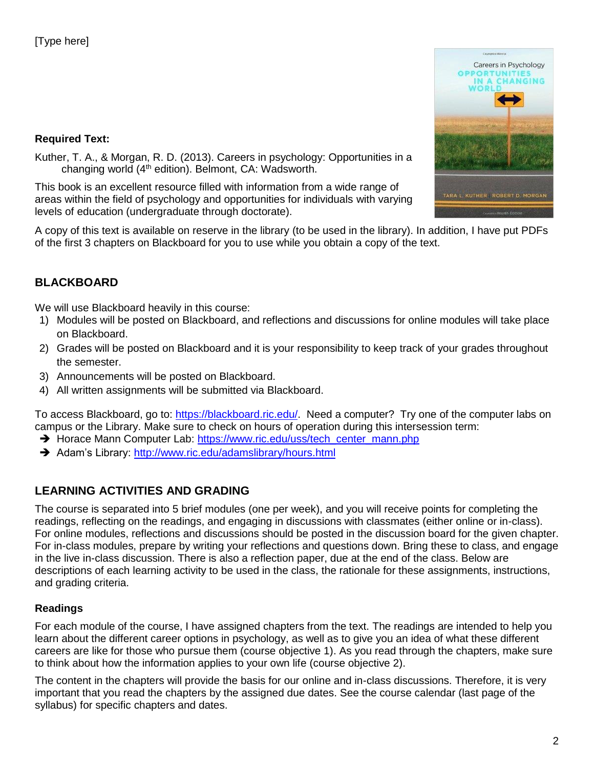#### **Required Text:**



Kuther, T. A., & Morgan, R. D. (2013). Careers in psychology: Opportunities in a changing world  $(4<sup>th</sup>$  edition). Belmont, CA: Wadsworth.

This book is an excellent resource filled with information from a wide range of areas within the field of psychology and opportunities for individuals with varying levels of education (undergraduate through doctorate).

A copy of this text is available on reserve in the library (to be used in the library). In addition, I have put PDFs of the first 3 chapters on Blackboard for you to use while you obtain a copy of the text.

### **BLACKBOARD**

We will use Blackboard heavily in this course:

- 1) Modules will be posted on Blackboard, and reflections and discussions for online modules will take place on Blackboard.
- 2) Grades will be posted on Blackboard and it is your responsibility to keep track of your grades throughout the semester.
- 3) Announcements will be posted on Blackboard.
- 4) All written assignments will be submitted via Blackboard.

To access Blackboard, go to: [https://blackboard.ric.edu/.](https://blackboard.ric.edu/) Need a computer? Try one of the computer labs on campus or the Library. Make sure to check on hours of operation during this intersession term:

- → Horace Mann Computer Lab: [https://www.ric.edu/uss/tech\\_center\\_mann.php](https://www.ric.edu/uss/tech_center_mann.php)
- Adam's Library:<http://www.ric.edu/adamslibrary/hours.html>

### **LEARNING ACTIVITIES AND GRADING**

The course is separated into 5 brief modules (one per week), and you will receive points for completing the readings, reflecting on the readings, and engaging in discussions with classmates (either online or in-class). For online modules, reflections and discussions should be posted in the discussion board for the given chapter. For in-class modules, prepare by writing your reflections and questions down. Bring these to class, and engage in the live in-class discussion. There is also a reflection paper, due at the end of the class. Below are descriptions of each learning activity to be used in the class, the rationale for these assignments, instructions, and grading criteria.

#### **Readings**

For each module of the course, I have assigned chapters from the text. The readings are intended to help you learn about the different career options in psychology, as well as to give you an idea of what these different careers are like for those who pursue them (course objective 1). As you read through the chapters, make sure to think about how the information applies to your own life (course objective 2).

The content in the chapters will provide the basis for our online and in-class discussions. Therefore, it is very important that you read the chapters by the assigned due dates. See the course calendar (last page of the syllabus) for specific chapters and dates.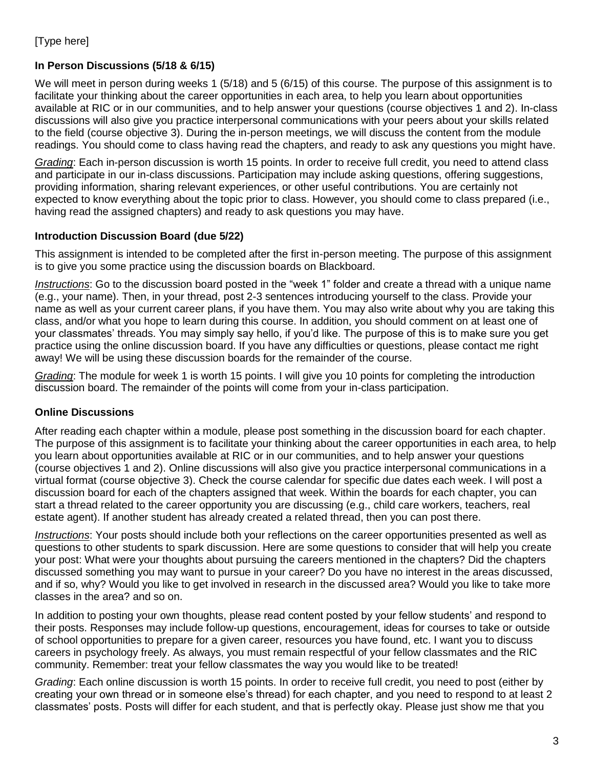#### **In Person Discussions (5/18 & 6/15)**

We will meet in person during weeks 1 (5/18) and 5 (6/15) of this course. The purpose of this assignment is to facilitate your thinking about the career opportunities in each area, to help you learn about opportunities available at RIC or in our communities, and to help answer your questions (course objectives 1 and 2). In-class discussions will also give you practice interpersonal communications with your peers about your skills related to the field (course objective 3). During the in-person meetings, we will discuss the content from the module readings. You should come to class having read the chapters, and ready to ask any questions you might have.

*Grading*: Each in-person discussion is worth 15 points. In order to receive full credit, you need to attend class and participate in our in-class discussions. Participation may include asking questions, offering suggestions, providing information, sharing relevant experiences, or other useful contributions. You are certainly not expected to know everything about the topic prior to class. However, you should come to class prepared (i.e., having read the assigned chapters) and ready to ask questions you may have.

#### **Introduction Discussion Board (due 5/22)**

This assignment is intended to be completed after the first in-person meeting. The purpose of this assignment is to give you some practice using the discussion boards on Blackboard.

*Instructions*: Go to the discussion board posted in the "week 1" folder and create a thread with a unique name (e.g., your name). Then, in your thread, post 2-3 sentences introducing yourself to the class. Provide your name as well as your current career plans, if you have them. You may also write about why you are taking this class, and/or what you hope to learn during this course. In addition, you should comment on at least one of your classmates' threads. You may simply say hello, if you'd like. The purpose of this is to make sure you get practice using the online discussion board. If you have any difficulties or questions, please contact me right away! We will be using these discussion boards for the remainder of the course.

*Grading*: The module for week 1 is worth 15 points. I will give you 10 points for completing the introduction discussion board. The remainder of the points will come from your in-class participation.

#### **Online Discussions**

After reading each chapter within a module, please post something in the discussion board for each chapter. The purpose of this assignment is to facilitate your thinking about the career opportunities in each area, to help you learn about opportunities available at RIC or in our communities, and to help answer your questions (course objectives 1 and 2). Online discussions will also give you practice interpersonal communications in a virtual format (course objective 3). Check the course calendar for specific due dates each week. I will post a discussion board for each of the chapters assigned that week. Within the boards for each chapter, you can start a thread related to the career opportunity you are discussing (e.g., child care workers, teachers, real estate agent). If another student has already created a related thread, then you can post there.

*Instructions*: Your posts should include both your reflections on the career opportunities presented as well as questions to other students to spark discussion. Here are some questions to consider that will help you create your post: What were your thoughts about pursuing the careers mentioned in the chapters? Did the chapters discussed something you may want to pursue in your career? Do you have no interest in the areas discussed, and if so, why? Would you like to get involved in research in the discussed area? Would you like to take more classes in the area? and so on.

In addition to posting your own thoughts, please read content posted by your fellow students' and respond to their posts. Responses may include follow-up questions, encouragement, ideas for courses to take or outside of school opportunities to prepare for a given career, resources you have found, etc. I want you to discuss careers in psychology freely. As always, you must remain respectful of your fellow classmates and the RIC community. Remember: treat your fellow classmates the way you would like to be treated!

*Grading*: Each online discussion is worth 15 points. In order to receive full credit, you need to post (either by creating your own thread or in someone else's thread) for each chapter, and you need to respond to at least 2 classmates' posts. Posts will differ for each student, and that is perfectly okay. Please just show me that you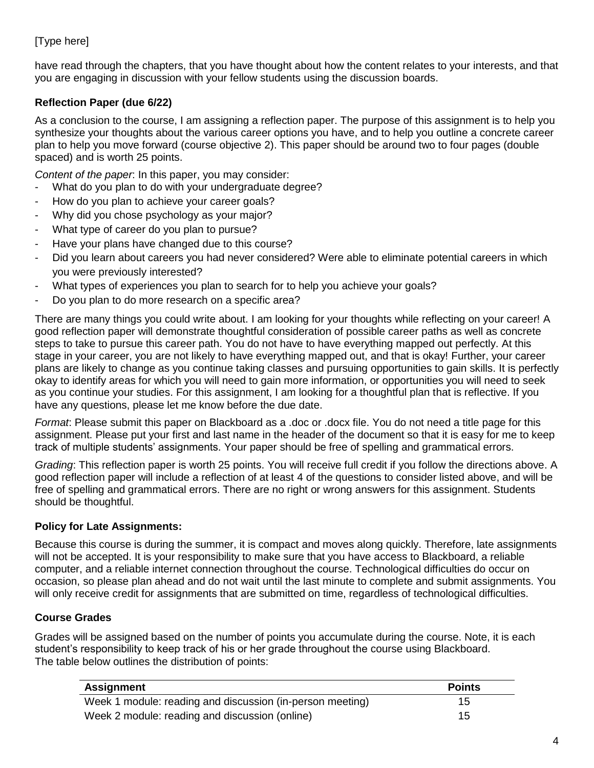have read through the chapters, that you have thought about how the content relates to your interests, and that you are engaging in discussion with your fellow students using the discussion boards.

#### **Reflection Paper (due 6/22)**

As a conclusion to the course, I am assigning a reflection paper. The purpose of this assignment is to help you synthesize your thoughts about the various career options you have, and to help you outline a concrete career plan to help you move forward (course objective 2). This paper should be around two to four pages (double spaced) and is worth 25 points.

*Content of the paper*: In this paper, you may consider:

- What do you plan to do with your undergraduate degree?
- How do you plan to achieve your career goals?
- Why did you chose psychology as your major?
- What type of career do you plan to pursue?
- Have your plans have changed due to this course?
- Did you learn about careers you had never considered? Were able to eliminate potential careers in which you were previously interested?
- What types of experiences you plan to search for to help you achieve your goals?
- Do you plan to do more research on a specific area?

There are many things you could write about. I am looking for your thoughts while reflecting on your career! A good reflection paper will demonstrate thoughtful consideration of possible career paths as well as concrete steps to take to pursue this career path. You do not have to have everything mapped out perfectly. At this stage in your career, you are not likely to have everything mapped out, and that is okay! Further, your career plans are likely to change as you continue taking classes and pursuing opportunities to gain skills. It is perfectly okay to identify areas for which you will need to gain more information, or opportunities you will need to seek as you continue your studies. For this assignment, I am looking for a thoughtful plan that is reflective. If you have any questions, please let me know before the due date.

*Format*: Please submit this paper on Blackboard as a .doc or .docx file. You do not need a title page for this assignment. Please put your first and last name in the header of the document so that it is easy for me to keep track of multiple students' assignments. Your paper should be free of spelling and grammatical errors.

*Grading*: This reflection paper is worth 25 points. You will receive full credit if you follow the directions above. A good reflection paper will include a reflection of at least 4 of the questions to consider listed above, and will be free of spelling and grammatical errors. There are no right or wrong answers for this assignment. Students should be thoughtful.

#### **Policy for Late Assignments:**

Because this course is during the summer, it is compact and moves along quickly. Therefore, late assignments will not be accepted. It is your responsibility to make sure that you have access to Blackboard, a reliable computer, and a reliable internet connection throughout the course. Technological difficulties do occur on occasion, so please plan ahead and do not wait until the last minute to complete and submit assignments. You will only receive credit for assignments that are submitted on time, regardless of technological difficulties.

#### **Course Grades**

Grades will be assigned based on the number of points you accumulate during the course. Note, it is each student's responsibility to keep track of his or her grade throughout the course using Blackboard. The table below outlines the distribution of points:

| <b>Assignment</b>                                         | <b>Points</b> |
|-----------------------------------------------------------|---------------|
| Week 1 module: reading and discussion (in-person meeting) | 15            |
| Week 2 module: reading and discussion (online)            | 15            |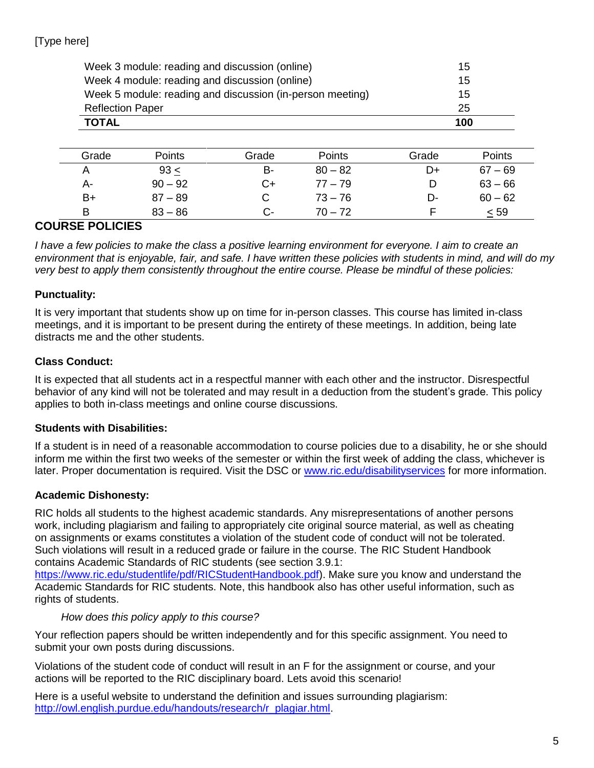| Week 3 module: reading and discussion (online) |                                                           |       |           |       | 15        |
|------------------------------------------------|-----------------------------------------------------------|-------|-----------|-------|-----------|
|                                                | Week 4 module: reading and discussion (online)            |       | 15        |       |           |
|                                                | Week 5 module: reading and discussion (in-person meeting) |       |           |       | 15        |
|                                                | <b>Reflection Paper</b>                                   |       |           |       | 25        |
| <b>TOTAL</b>                                   |                                                           |       |           |       | 100       |
|                                                |                                                           |       |           |       |           |
| Grade                                          | <b>Points</b>                                             | Grade | Points    | Grade | Points    |
| A                                              | 93 <                                                      | B-    | $80 - 82$ | D+    | $67 - 69$ |
| A-                                             | $90 - 92$                                                 | C+    | $77 - 79$ | D     | $63 - 66$ |
| B+                                             | $87 - 89$                                                 | С     | $73 - 76$ | D-    | $60 - 62$ |
| B                                              | $83 - 86$                                                 | C-    | $70 - 72$ | F     | $\leq 59$ |

### **COURSE POLICIES**

*I have a few policies to make the class a positive learning environment for everyone. I aim to create an environment that is enjoyable, fair, and safe. I have written these policies with students in mind, and will do my very best to apply them consistently throughout the entire course. Please be mindful of these policies:*

#### **Punctuality:**

It is very important that students show up on time for in-person classes. This course has limited in-class meetings, and it is important to be present during the entirety of these meetings. In addition, being late distracts me and the other students.

#### **Class Conduct:**

It is expected that all students act in a respectful manner with each other and the instructor. Disrespectful behavior of any kind will not be tolerated and may result in a deduction from the student's grade. This policy applies to both in-class meetings and online course discussions.

#### **Students with Disabilities:**

If a student is in need of a reasonable accommodation to course policies due to a disability, he or she should inform me within the first two weeks of the semester or within the first week of adding the class, whichever is later. Proper documentation is required. Visit the DSC or [www.ric.edu/disabilityservices](http://www.ric.edu/disabilityservices) for more information.

#### **Academic Dishonesty:**

RIC holds all students to the highest academic standards. Any misrepresentations of another persons work, including plagiarism and failing to appropriately cite original source material, as well as cheating on assignments or exams constitutes a violation of the student code of conduct will not be tolerated. Such violations will result in a reduced grade or failure in the course. The RIC Student Handbook contains Academic Standards of RIC students (see section 3.9.1:

[https://www.ric.edu/studentlife/pdf/RICStudentHandbook.pdf\)](https://www.ric.edu/studentlife/pdf/RICStudentHandbook.pdf). Make sure you know and understand the Academic Standards for RIC students. Note, this handbook also has other useful information, such as rights of students.

#### *How does this policy apply to this course?*

Your reflection papers should be written independently and for this specific assignment. You need to submit your own posts during discussions.

Violations of the student code of conduct will result in an F for the assignment or course, and your actions will be reported to the RIC disciplinary board. Lets avoid this scenario!

Here is a useful website to understand the definition and issues surrounding plagiarism: [http://owl.english.purdue.edu/handouts/research/r\\_plagiar.html.](http://owl.english.purdue.edu/handouts/research/r_plagiar.html)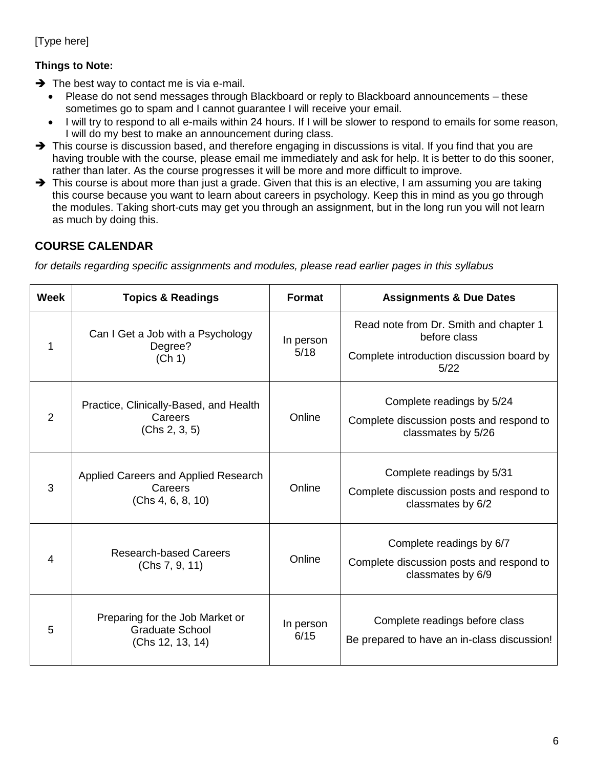### **Things to Note:**

- $\rightarrow$  The best way to contact me is via e-mail.
	- Please do not send messages through Blackboard or reply to Blackboard announcements these sometimes go to spam and I cannot guarantee I will receive your email.
	- I will try to respond to all e-mails within 24 hours. If I will be slower to respond to emails for some reason, I will do my best to make an announcement during class.
- $\rightarrow$  This course is discussion based, and therefore engaging in discussions is vital. If you find that you are having trouble with the course, please email me immediately and ask for help. It is better to do this sooner, rather than later. As the course progresses it will be more and more difficult to improve.
- $\rightarrow$  This course is about more than just a grade. Given that this is an elective, I am assuming you are taking this course because you want to learn about careers in psychology. Keep this in mind as you go through the modules. Taking short-cuts may get you through an assignment, but in the long run you will not learn as much by doing this.

### **COURSE CALENDAR**

*for details regarding specific assignments and modules, please read earlier pages in this syllabus*

| <b>Week</b>    | <b>Topics &amp; Readings</b>                                                  | <b>Format</b>     | <b>Assignments &amp; Due Dates</b>                                                                          |
|----------------|-------------------------------------------------------------------------------|-------------------|-------------------------------------------------------------------------------------------------------------|
| 1              | Can I Get a Job with a Psychology<br>Degree?<br>(Ch 1)                        | In person<br>5/18 | Read note from Dr. Smith and chapter 1<br>before class<br>Complete introduction discussion board by<br>5/22 |
| $\overline{2}$ | Practice, Clinically-Based, and Health<br>Careers<br>(Chs 2, 3, 5)            | Online            | Complete readings by 5/24<br>Complete discussion posts and respond to<br>classmates by 5/26                 |
| 3              | Applied Careers and Applied Research<br>Careers<br>(Chs 4, 6, 8, 10)          | Online            | Complete readings by 5/31<br>Complete discussion posts and respond to<br>classmates by 6/2                  |
| 4              | <b>Research-based Careers</b><br>(Chs 7, 9, 11)                               | Online            | Complete readings by 6/7<br>Complete discussion posts and respond to<br>classmates by 6/9                   |
| 5              | Preparing for the Job Market or<br><b>Graduate School</b><br>(Chs 12, 13, 14) | In person<br>6/15 | Complete readings before class<br>Be prepared to have an in-class discussion!                               |